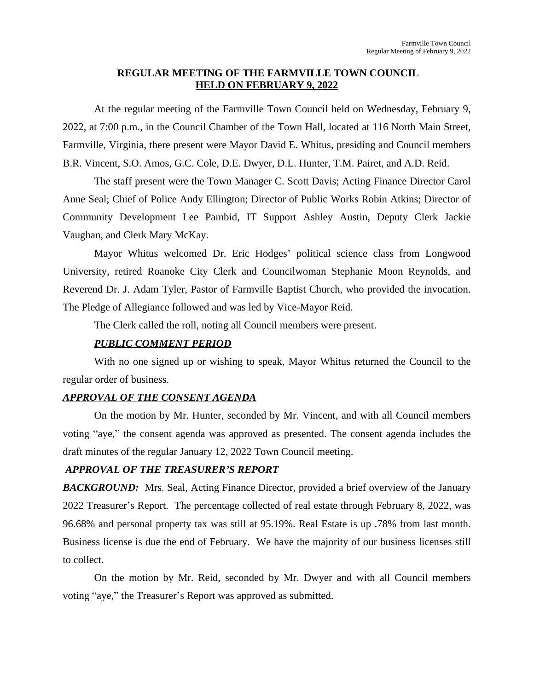#### **REGULAR MEETING OF THE FARMVILLE TOWN COUNCIL HELD ON FEBRUARY 9, 2022**

At the regular meeting of the Farmville Town Council held on Wednesday, February 9, 2022, at 7:00 p.m., in the Council Chamber of the Town Hall, located at 116 North Main Street, Farmville, Virginia, there present were Mayor David E. Whitus, presiding and Council members B.R. Vincent, S.O. Amos, G.C. Cole, D.E. Dwyer, D.L. Hunter, T.M. Pairet, and A.D. Reid.

The staff present were the Town Manager C. Scott Davis; Acting Finance Director Carol Anne Seal; Chief of Police Andy Ellington; Director of Public Works Robin Atkins; Director of Community Development Lee Pambid, IT Support Ashley Austin, Deputy Clerk Jackie Vaughan, and Clerk Mary McKay.

Mayor Whitus welcomed Dr. Eric Hodges' political science class from Longwood University, retired Roanoke City Clerk and Councilwoman Stephanie Moon Reynolds, and Reverend Dr. J. Adam Tyler, Pastor of Farmville Baptist Church, who provided the invocation. The Pledge of Allegiance followed and was led by Vice-Mayor Reid.

The Clerk called the roll, noting all Council members were present.

#### *PUBLIC COMMENT PERIOD*

With no one signed up or wishing to speak, Mayor Whitus returned the Council to the regular order of business.

#### *APPROVAL OF THE CONSENT AGENDA*

On the motion by Mr. Hunter, seconded by Mr. Vincent, and with all Council members voting "aye," the consent agenda was approved as presented. The consent agenda includes the draft minutes of the regular January 12, 2022 Town Council meeting.

### *APPROVAL OF THE TREASURER'S REPORT*

**BACKGROUND:** Mrs. Seal, Acting Finance Director, provided a brief overview of the January 2022 Treasurer's Report. The percentage collected of real estate through February 8, 2022, was 96.68% and personal property tax was still at 95.19%. Real Estate is up .78% from last month. Business license is due the end of February. We have the majority of our business licenses still to collect.

On the motion by Mr. Reid, seconded by Mr. Dwyer and with all Council members voting "aye," the Treasurer's Report was approved as submitted.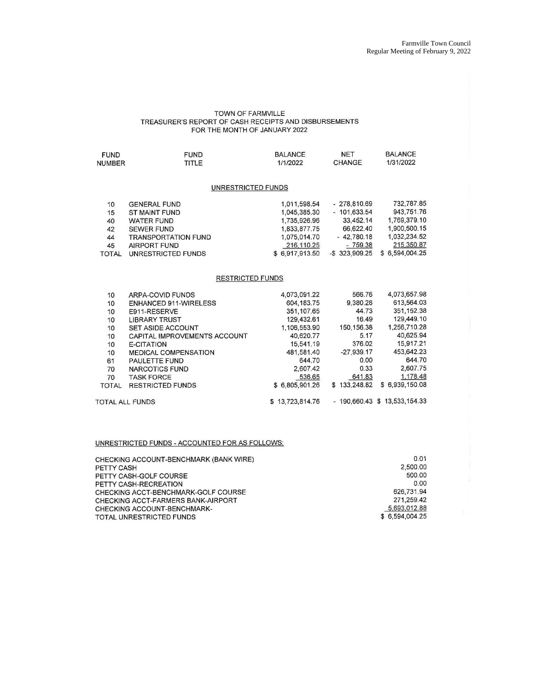## TOWN OF FARMVILLE<br>TREASURER'S REPORT OF CASH RECEIPTS AND DISBURSEMENTS FOR THE MONTH OF JANUARY 2022

| <b>FUND</b>             | <b>FUND</b>                | <b>BALANCE</b> | NET               | <b>BALANCE</b> |  |  |  |
|-------------------------|----------------------------|----------------|-------------------|----------------|--|--|--|
| <b>NUMBER</b>           | <b>TITLE</b>               | 1/1/2022       | CHANGE            | 1/31/2022      |  |  |  |
| UNRESTRICTED FUNDS      |                            |                |                   |                |  |  |  |
| 10                      | <b>GENERAL FUND</b>        | 1,011,598.54   | $-278,810.69$     | 732,787.85     |  |  |  |
| 15                      | ST MAINT FUND              | 1,045,385.30   | $-101.633.54$     | 943,751.76     |  |  |  |
| 40                      | <b>WATER FUND</b>          | 1,735,926.96   | 33.452.14         | 1,769,379.10   |  |  |  |
| 42                      | <b>SEWER FUND</b>          | 1,833,877.75   | 66.622.40         | 1,900,500.15   |  |  |  |
| 44                      | <b>TRANSPORTATION FUND</b> | 1,075,014.70   | $-42,780.18$      | 1,032,234.52   |  |  |  |
| 45                      | AIRPORT FUND               | 216.110.25     | $-759.38$         | 215,350.87     |  |  |  |
| <b>TOTAL</b>            | UNRESTRICTED FUNDS         | \$6,917,913.50 | $-$ \$ 323,909.25 | \$6,594,004.25 |  |  |  |
| <b>RESTRICTED FUNDS</b> |                            |                |                   |                |  |  |  |

| 10                     | ARPA-COVID FUNDS             | 4.073.091.22    | 566.76       | 4,073,657.98                   |
|------------------------|------------------------------|-----------------|--------------|--------------------------------|
| 10                     | <b>ENHANCED 911-WIRELESS</b> | 604.183.75      | 9,380.28     | 613,564.03                     |
| 10                     | E911-RESERVE                 | 351.107.65      | 44.73        | 351, 152.38                    |
| 10                     | <b>LIBRARY TRUST</b>         | 129,432.61      | 16.49        | 129,449.10                     |
| 10                     | <b>SET ASIDE ACCOUNT</b>     | 1,106,553.90    | 150, 156, 38 | 1,256,710.28                   |
| 10                     | CAPITAL IMPROVEMENTS ACCOUNT | 40,620.77       | 5.17         | 40,625.94                      |
| 10                     | E-CITATION                   | 15.541.19       | 376.02       | 15.917.21                      |
| 10                     | <b>MEDICAL COMPENSATION</b>  | 481,581.40      | $-27.939.17$ | 453,642.23                     |
| 61                     | <b>PAULETTE FUND</b>         | 644.70          | 0.00         | 644.70                         |
| 70                     | <b>NARCOTICS FUND</b>        | 2.607.42        | 0.33         | 2,607.75                       |
| 70                     | <b>TASK FORCE</b>            | 536.65          | 641.83       | 1,178.48                       |
| <b>TOTAL</b>           | <b>RESTRICTED FUNDS</b>      | \$6,805,901.26  | \$133,248.82 | \$6,939,150.08                 |
| <b>TOTAL ALL FUNDS</b> |                              | \$13,723,814.76 |              | $-190,660.43$ \$ 13,533,154.33 |
|                        |                              |                 |              |                                |

#### UNRESTRICTED FUNDS - ACCOUNTED FOR AS FOLLOWS:

| 0.01           |
|----------------|
| 2,500.00       |
| 500.00         |
| 0.00           |
| 626.731.94     |
| 271.259.42     |
| 5,693,012.88   |
| \$6.594,004.25 |
|                |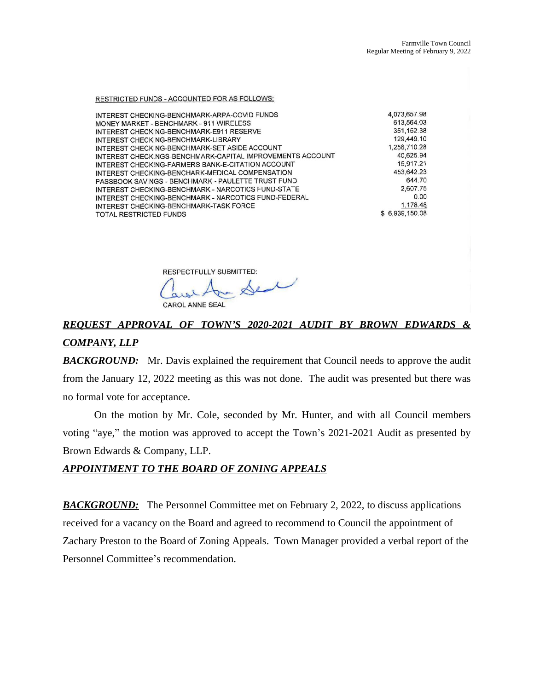RESTRICTED FUNDS - ACCOUNTED FOR AS FOLLOWS:

| INTEREST CHECKING-BENCHMARK-ARPA-COVID FUNDS              | 4,073,657.98   |
|-----------------------------------------------------------|----------------|
| MONEY MARKET - BENCHMARK - 911 WIRELESS                   | 613,564.03     |
| INTEREST CHECKING-BENCHMARK-E911 RESERVE                  | 351, 152.38    |
| INTEREST CHECKING-BENCHMARK-LIBRARY                       | 129,449.10     |
| INTEREST CHECKING-BENCHMARK-SET ASIDE ACCOUNT             | 1.256,710.28   |
| INTEREST CHECKINGS-BENCHMARK-CAPITAL IMPROVEMENTS ACCOUNT | 40.625.94      |
| INTEREST CHECKING-FARMERS BANK-E-CITATION ACCOUNT         | 15,917.21      |
| INTEREST CHECKING-BENCHARK-MEDICAL COMPENSATION           | 453.642.23     |
| PASSBOOK SAVINGS - BENCHMARK - PAULETTE TRUST FUND        | 644.70         |
| INTEREST CHECKING-BENCHMARK - NARCOTICS FUND-STATE        | 2,607.75       |
| INTEREST CHECKING-BENCHMARK - NARCOTICS FUND-FEDERAL      | 0.00           |
| INTEREST CHECKING-BENCHMARK-TASK FORCE                    | 1.178.48       |
| <b>TOTAL RESTRICTED FUNDS</b>                             | \$6,939,150.08 |

RESPECTFULLY SUBMITTED:

Ar Seal

# *REQUEST APPROVAL OF TOWN'S 2020-2021 AUDIT BY BROWN EDWARDS & COMPANY, LLP*

**BACKGROUND:** Mr. Davis explained the requirement that Council needs to approve the audit from the January 12, 2022 meeting as this was not done. The audit was presented but there was no formal vote for acceptance.

On the motion by Mr. Cole, seconded by Mr. Hunter, and with all Council members voting "aye," the motion was approved to accept the Town's 2021-2021 Audit as presented by Brown Edwards & Company, LLP.

#### *APPOINTMENT TO THE BOARD OF ZONING APPEALS*

**BACKGROUND:** The Personnel Committee met on February 2, 2022, to discuss applications received for a vacancy on the Board and agreed to recommend to Council the appointment of Zachary Preston to the Board of Zoning Appeals. Town Manager provided a verbal report of the Personnel Committee's recommendation.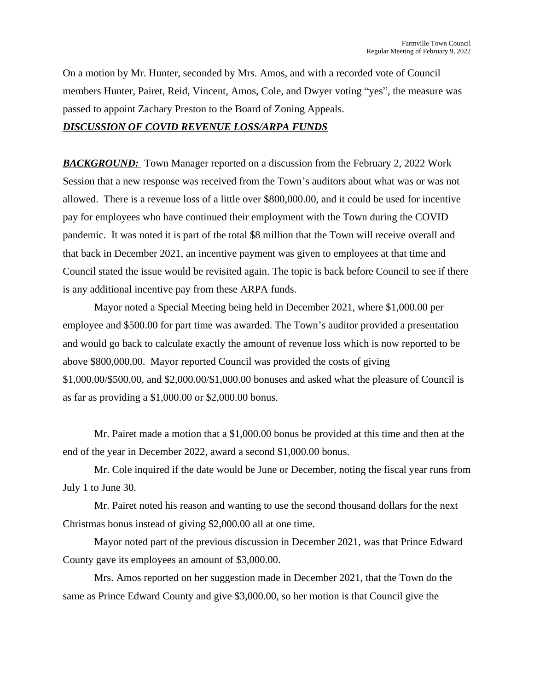On a motion by Mr. Hunter, seconded by Mrs. Amos, and with a recorded vote of Council members Hunter, Pairet, Reid, Vincent, Amos, Cole, and Dwyer voting "yes", the measure was passed to appoint Zachary Preston to the Board of Zoning Appeals.

#### *DISCUSSION OF COVID REVENUE LOSS/ARPA FUNDS*

*BACKGROUND:* Town Manager reported on a discussion from the February 2, 2022 Work Session that a new response was received from the Town's auditors about what was or was not allowed. There is a revenue loss of a little over \$800,000.00, and it could be used for incentive pay for employees who have continued their employment with the Town during the COVID pandemic. It was noted it is part of the total \$8 million that the Town will receive overall and that back in December 2021, an incentive payment was given to employees at that time and Council stated the issue would be revisited again. The topic is back before Council to see if there is any additional incentive pay from these ARPA funds.

Mayor noted a Special Meeting being held in December 2021, where \$1,000.00 per employee and \$500.00 for part time was awarded. The Town's auditor provided a presentation and would go back to calculate exactly the amount of revenue loss which is now reported to be above \$800,000.00. Mayor reported Council was provided the costs of giving \$1,000.00/\$500.00, and \$2,000.00/\$1,000.00 bonuses and asked what the pleasure of Council is as far as providing a \$1,000.00 or \$2,000.00 bonus.

Mr. Pairet made a motion that a \$1,000.00 bonus be provided at this time and then at the end of the year in December 2022, award a second \$1,000.00 bonus.

Mr. Cole inquired if the date would be June or December, noting the fiscal year runs from July 1 to June 30.

Mr. Pairet noted his reason and wanting to use the second thousand dollars for the next Christmas bonus instead of giving \$2,000.00 all at one time.

Mayor noted part of the previous discussion in December 2021, was that Prince Edward County gave its employees an amount of \$3,000.00.

Mrs. Amos reported on her suggestion made in December 2021, that the Town do the same as Prince Edward County and give \$3,000.00, so her motion is that Council give the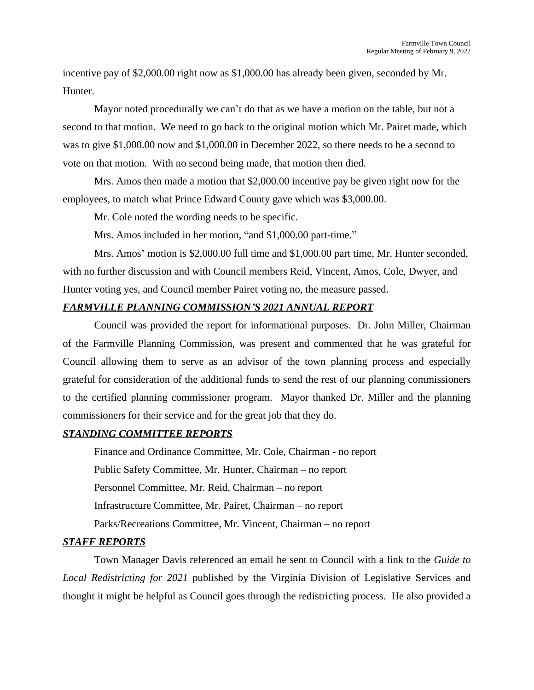incentive pay of \$2,000.00 right now as \$1,000.00 has already been given, seconded by Mr. Hunter.

Mayor noted procedurally we can't do that as we have a motion on the table, but not a second to that motion. We need to go back to the original motion which Mr. Pairet made, which was to give \$1,000.00 now and \$1,000.00 in December 2022, so there needs to be a second to vote on that motion. With no second being made, that motion then died.

Mrs. Amos then made a motion that \$2,000.00 incentive pay be given right now for the employees, to match what Prince Edward County gave which was \$3,000.00.

Mr. Cole noted the wording needs to be specific.

Mrs. Amos included in her motion, "and \$1,000.00 part-time."

Mrs. Amos' motion is \$2,000.00 full time and \$1,000.00 part time, Mr. Hunter seconded, with no further discussion and with Council members Reid, Vincent, Amos, Cole, Dwyer, and Hunter voting yes, and Council member Pairet voting no, the measure passed.

#### *FARMVILLE PLANNING COMMISSION'S 2021 ANNUAL REPORT*

Council was provided the report for informational purposes. Dr. John Miller, Chairman of the Farmville Planning Commission, was present and commented that he was grateful for Council allowing them to serve as an advisor of the town planning process and especially grateful for consideration of the additional funds to send the rest of our planning commissioners to the certified planning commissioner program. Mayor thanked Dr. Miller and the planning commissioners for their service and for the great job that they do.

#### *STANDING COMMITTEE REPORTS*

Finance and Ordinance Committee, Mr. Cole, Chairman - no report Public Safety Committee, Mr. Hunter, Chairman – no report Personnel Committee, Mr. Reid, Chairman – no report Infrastructure Committee, Mr. Pairet, Chairman – no report Parks/Recreations Committee, Mr. Vincent, Chairman – no report

#### *STAFF REPORTS*

Town Manager Davis referenced an email he sent to Council with a link to the *Guide to Local Redistricting for 2021* published by the Virginia Division of Legislative Services and thought it might be helpful as Council goes through the redistricting process. He also provided a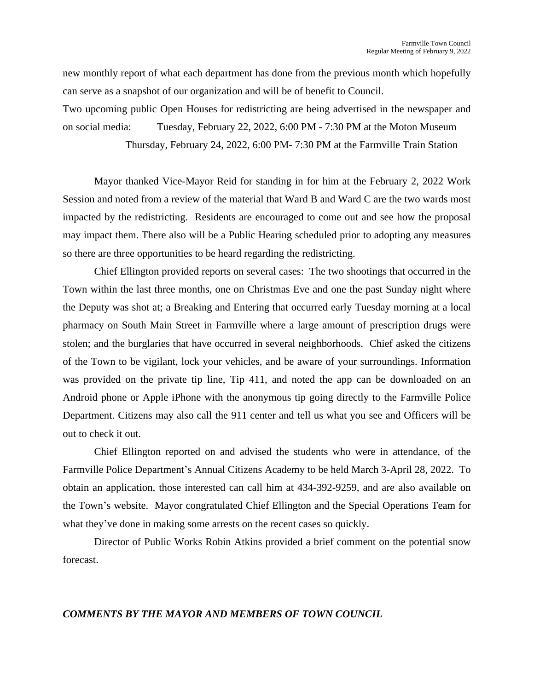new monthly report of what each department has done from the previous month which hopefully can serve as a snapshot of our organization and will be of benefit to Council.

Two upcoming public Open Houses for redistricting are being advertised in the newspaper and on social media: Tuesday, February 22, 2022, 6:00 PM - 7:30 PM at the Moton Museum Thursday, February 24, 2022, 6:00 PM- 7:30 PM at the Farmville Train Station

Mayor thanked Vice-Mayor Reid for standing in for him at the February 2, 2022 Work Session and noted from a review of the material that Ward B and Ward C are the two wards most impacted by the redistricting. Residents are encouraged to come out and see how the proposal may impact them. There also will be a Public Hearing scheduled prior to adopting any measures so there are three opportunities to be heard regarding the redistricting.

Chief Ellington provided reports on several cases: The two shootings that occurred in the Town within the last three months, one on Christmas Eve and one the past Sunday night where the Deputy was shot at; a Breaking and Entering that occurred early Tuesday morning at a local pharmacy on South Main Street in Farmville where a large amount of prescription drugs were stolen; and the burglaries that have occurred in several neighborhoods. Chief asked the citizens of the Town to be vigilant, lock your vehicles, and be aware of your surroundings. Information was provided on the private tip line, Tip 411, and noted the app can be downloaded on an Android phone or Apple iPhone with the anonymous tip going directly to the Farmville Police Department. Citizens may also call the 911 center and tell us what you see and Officers will be out to check it out.

Chief Ellington reported on and advised the students who were in attendance, of the Farmville Police Department's Annual Citizens Academy to be held March 3-April 28, 2022. To obtain an application, those interested can call him at 434-392-9259, and are also available on the Town's website. Mayor congratulated Chief Ellington and the Special Operations Team for what they've done in making some arrests on the recent cases so quickly.

Director of Public Works Robin Atkins provided a brief comment on the potential snow forecast.

#### *COMMENTS BY THE MAYOR AND MEMBERS OF TOWN COUNCIL*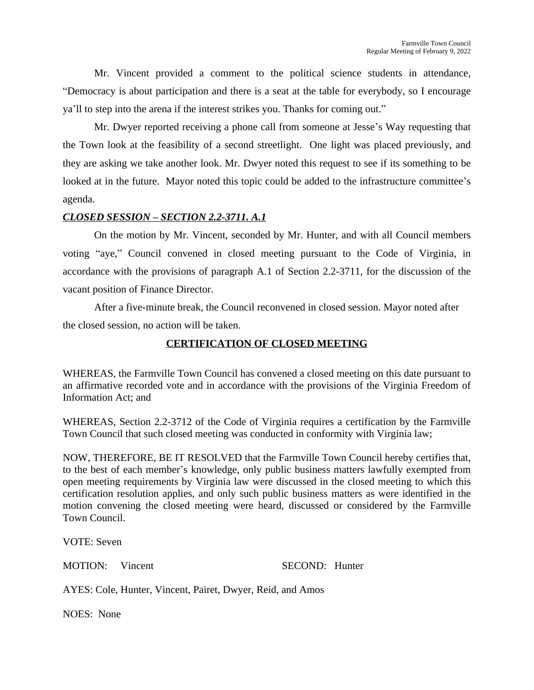Mr. Vincent provided a comment to the political science students in attendance, "Democracy is about participation and there is a seat at the table for everybody, so I encourage ya'll to step into the arena if the interest strikes you. Thanks for coming out."

Mr. Dwyer reported receiving a phone call from someone at Jesse's Way requesting that the Town look at the feasibility of a second streetlight. One light was placed previously, and they are asking we take another look. Mr. Dwyer noted this request to see if its something to be looked at in the future. Mayor noted this topic could be added to the infrastructure committee's agenda.

#### *CLOSED SESSION – SECTION 2.2-3711. A.1*

On the motion by Mr. Vincent, seconded by Mr. Hunter, and with all Council members voting "aye," Council convened in closed meeting pursuant to the Code of Virginia, in accordance with the provisions of paragraph A.1 of Section 2.2-3711, for the discussion of the vacant position of Finance Director.

After a five-minute break, the Council reconvened in closed session. Mayor noted after the closed session, no action will be taken.

#### **CERTIFICATION OF CLOSED MEETING**

WHEREAS, the Farmville Town Council has convened a closed meeting on this date pursuant to an affirmative recorded vote and in accordance with the provisions of the Virginia Freedom of Information Act; and

WHEREAS, Section 2.2-3712 of the Code of Virginia requires a certification by the Farmville Town Council that such closed meeting was conducted in conformity with Virginia law;

NOW, THEREFORE, BE IT RESOLVED that the Farmville Town Council hereby certifies that, to the best of each member's knowledge, only public business matters lawfully exempted from open meeting requirements by Virginia law were discussed in the closed meeting to which this certification resolution applies, and only such public business matters as were identified in the motion convening the closed meeting were heard, discussed or considered by the Farmville Town Council.

VOTE: Seven

MOTION: Vincent SECOND: Hunter

AYES: Cole, Hunter, Vincent, Pairet, Dwyer, Reid, and Amos

NOES: None